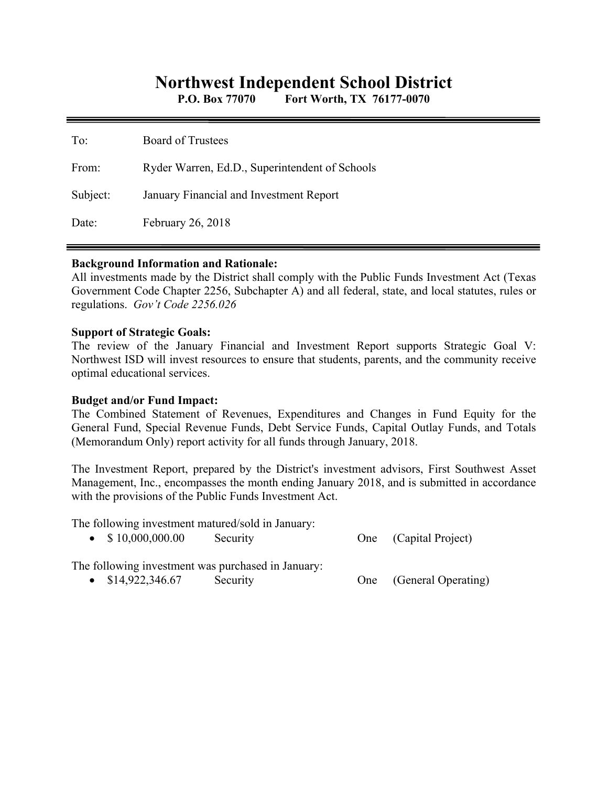# **Northwest Independent School District**

**P.O. Box 77070 Fort Worth, TX 76177-0070** 

| To:      | <b>Board of Trustees</b>                       |
|----------|------------------------------------------------|
| From:    | Ryder Warren, Ed.D., Superintendent of Schools |
| Subject: | January Financial and Investment Report        |
| Date:    | February 26, 2018                              |

### **Background Information and Rationale:**

All investments made by the District shall comply with the Public Funds Investment Act (Texas Government Code Chapter 2256, Subchapter A) and all federal, state, and local statutes, rules or regulations. *Gov't Code 2256.026* 

### **Support of Strategic Goals:**

The review of the January Financial and Investment Report supports Strategic Goal V: Northwest ISD will invest resources to ensure that students, parents, and the community receive optimal educational services.

## **Budget and/or Fund Impact:**

The Combined Statement of Revenues, Expenditures and Changes in Fund Equity for the General Fund, Special Revenue Funds, Debt Service Funds, Capital Outlay Funds, and Totals (Memorandum Only) report activity for all funds through January, 2018.

The Investment Report, prepared by the District's investment advisors, First Southwest Asset Management, Inc., encompasses the month ending January 2018, and is submitted in accordance with the provisions of the Public Funds Investment Act.

The following investment matured/sold in January:

| \$10,000,000.00 | Security | One (Capital Project) |
|-----------------|----------|-----------------------|
|                 |          |                       |

The following investment was purchased in January:

• \$14,922,346.67 Security One (General Operating)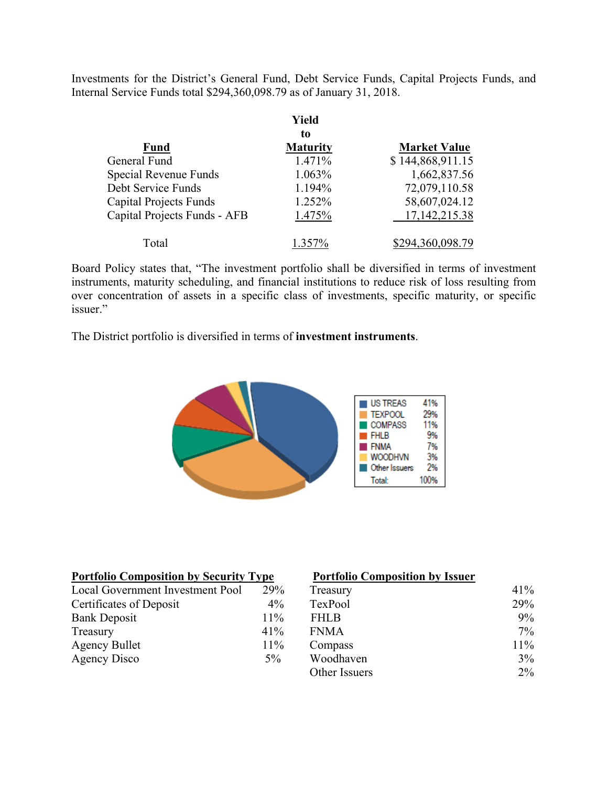Investments for the District's General Fund, Debt Service Funds, Capital Projects Funds, and Internal Service Funds total \$294,360,098.79 as of January 31, 2018.

|                               | Yield           |                     |
|-------------------------------|-----------------|---------------------|
|                               | to              |                     |
| <b>Fund</b>                   | <b>Maturity</b> | <b>Market Value</b> |
| General Fund                  | 1.471%          | \$144,868,911.15    |
| Special Revenue Funds         | 1.063%          | 1,662,837.56        |
| Debt Service Funds            | 1.194%          | 72,079,110.58       |
| <b>Capital Projects Funds</b> | 1.252%          | 58,607,024.12       |
| Capital Projects Funds - AFB  | 1.475%          | 17, 142, 215. 38    |
| Total                         | 1.357%          | \$294,360,098.79    |

Board Policy states that, "The investment portfolio shall be diversified in terms of investment instruments, maturity scheduling, and financial institutions to reduce risk of loss resulting from over concentration of assets in a specific class of investments, specific maturity, or specific issuer."

The District portfolio is diversified in terms of **investment instruments**.



| <b>Portfolio Composition by Security Type</b> |       | <b>Portfolio Composition by Issuer</b> |        |
|-----------------------------------------------|-------|----------------------------------------|--------|
| Local Government Investment Pool              | 29%   | Treasury                               | 41%    |
| Certificates of Deposit                       | $4\%$ | TexPool                                | 29%    |
| <b>Bank Deposit</b>                           | 11%   | <b>FHLB</b>                            | $9\%$  |
| Treasury                                      | 41%   | <b>FNMA</b>                            | $7\%$  |
| <b>Agency Bullet</b>                          | 11%   | Compass                                | $11\%$ |
| Agency Disco                                  | $5\%$ | Woodhaven                              | 3%     |
|                                               |       | Other Issuers                          | $2\%$  |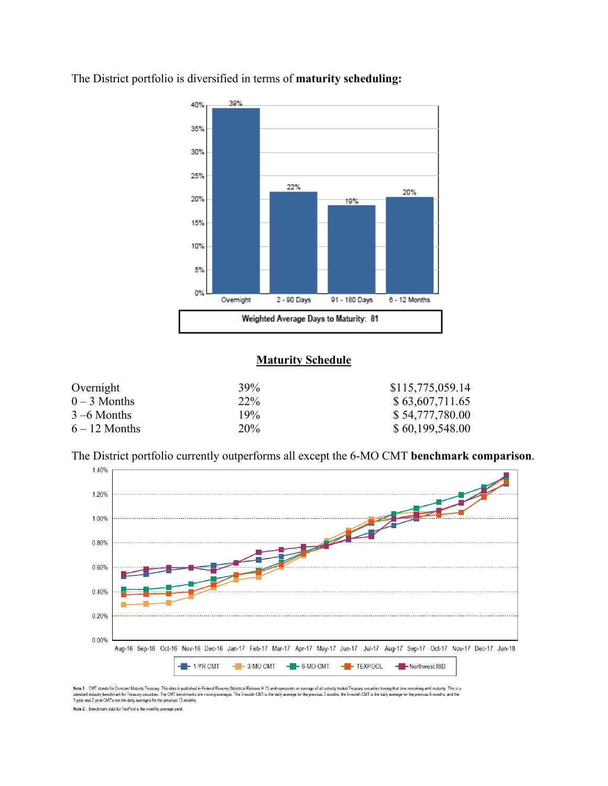

The District portfolio is diversified in terms of **maturity scheduling:** 

## **Maturity Schedule**

| Overnight       | 39%             | \$115,775,059.14 |
|-----------------|-----------------|------------------|
| $0-3$ Months    | 22\%            | \$63,607,711.65  |
| $3 - 6$ Months  | 19%             | \$54,777,780.00  |
| $6 - 12$ Months | 20 <sup>%</sup> | \$60,199,548.00  |

The District portfolio currently outperforms all except the 6-MO CMT **benchmark comparison**.



Note 1: CMT stands for Constant Maturity Treasury. This data is published in Federal Reseve Statistical Release H.15 and represents an average of all actively traded Treasury securities having that time remaining until mat Note 2: Benchmark data for TexPool is the monthly average yield.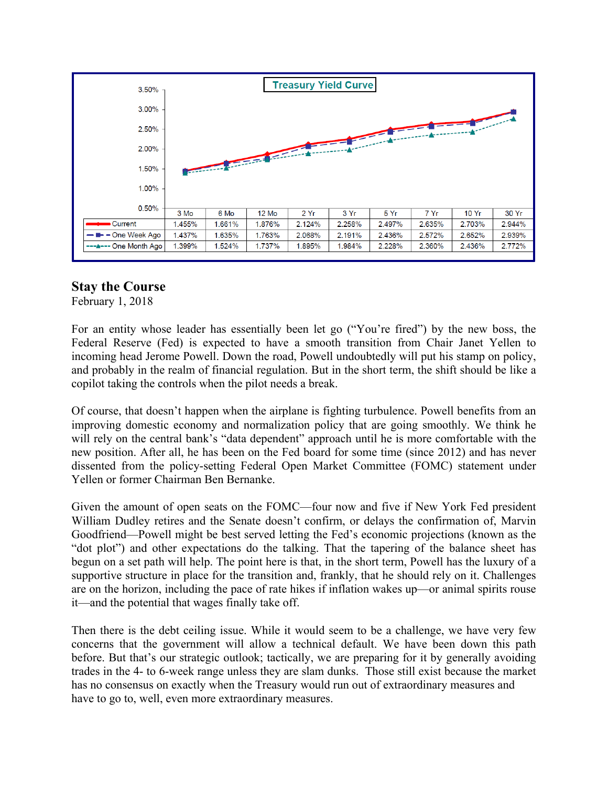

## **Stay the Course**

February 1, 2018

For an entity whose leader has essentially been let go ("You're fired") by the new boss, the Federal Reserve (Fed) is expected to have a smooth transition from Chair Janet Yellen to incoming head Jerome Powell. Down the road, Powell undoubtedly will put his stamp on policy, and probably in the realm of financial regulation. But in the short term, the shift should be like a copilot taking the controls when the pilot needs a break.

Of course, that doesn't happen when the airplane is fighting turbulence. Powell benefits from an improving domestic economy and normalization policy that are going smoothly. We think he will rely on the central bank's "data dependent" approach until he is more comfortable with the new position. After all, he has been on the Fed board for some time (since 2012) and has never dissented from the policy-setting Federal Open Market Committee (FOMC) statement under Yellen or former Chairman Ben Bernanke.

Given the amount of open seats on the FOMC—four now and five if New York Fed president William Dudley retires and the Senate doesn't confirm, or delays the confirmation of, Marvin Goodfriend—Powell might be best served letting the Fed's economic projections (known as the "dot plot") and other expectations do the talking. That the tapering of the balance sheet has begun on a set path will help. The point here is that, in the short term, Powell has the luxury of a supportive structure in place for the transition and, frankly, that he should rely on it. Challenges are on the horizon, including the pace of rate hikes if inflation wakes up—or animal spirits rouse it—and the potential that wages finally take off.

Then there is the debt ceiling issue. While it would seem to be a challenge, we have very few concerns that the government will allow a technical default. We have been down this path before. But that's our strategic outlook; tactically, we are preparing for it by generally avoiding trades in the 4- to 6-week range unless they are slam dunks. Those still exist because the market has no consensus on exactly when the Treasury would run out of extraordinary measures and have to go to, well, even more extraordinary measures.